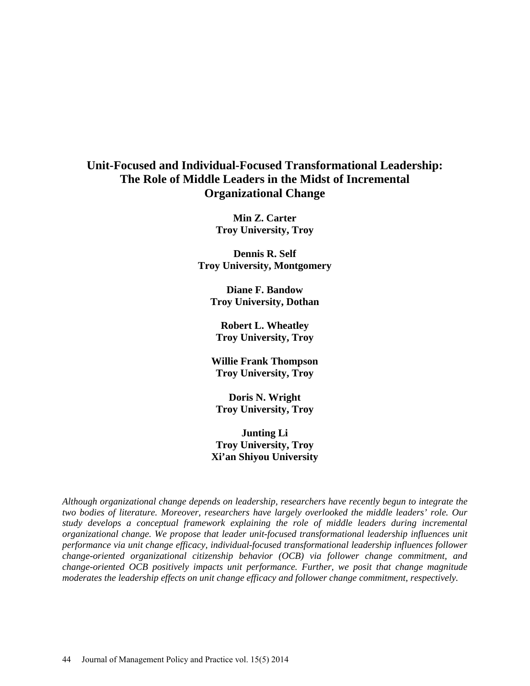# **Unit-Focused and Individual-Focused Transformational Leadership: The Role of Middle Leaders in the Midst of Incremental Organizational Change**

**Min Z. Carter Troy University, Troy** 

**Dennis R. Self Troy University, Montgomery** 

**Diane F. Bandow Troy University, Dothan** 

**Robert L. Wheatley Troy University, Troy** 

**Willie Frank Thompson Troy University, Troy** 

**Doris N. Wright Troy University, Troy** 

**Junting Li Troy University, Troy Xi'an Shiyou University**

*Although organizational change depends on leadership, researchers have recently begun to integrate the two bodies of literature. Moreover, researchers have largely overlooked the middle leaders' role. Our study develops a conceptual framework explaining the role of middle leaders during incremental organizational change. We propose that leader unit-focused transformational leadership influences unit performance via unit change efficacy, individual-focused transformational leadership influences follower change-oriented organizational citizenship behavior (OCB) via follower change commitment, and change-oriented OCB positively impacts unit performance. Further, we posit that change magnitude moderates the leadership effects on unit change efficacy and follower change commitment, respectively.*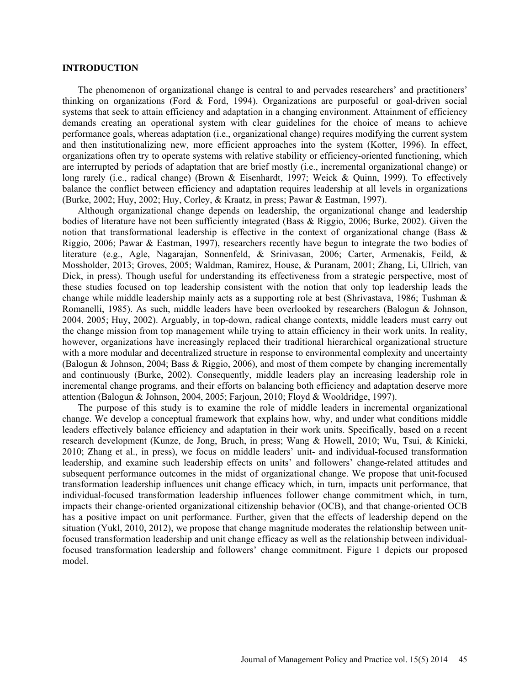### **INTRODUCTION**

The phenomenon of organizational change is central to and pervades researchers' and practitioners' thinking on organizations (Ford & Ford, 1994). Organizations are purposeful or goal-driven social systems that seek to attain efficiency and adaptation in a changing environment. Attainment of efficiency demands creating an operational system with clear guidelines for the choice of means to achieve performance goals, whereas adaptation (i.e., organizational change) requires modifying the current system and then institutionalizing new, more efficient approaches into the system (Kotter, 1996). In effect, organizations often try to operate systems with relative stability or efficiency-oriented functioning, which are interrupted by periods of adaptation that are brief mostly (i.e., incremental organizational change) or long rarely (i.e., radical change) (Brown & Eisenhardt, 1997; Weick & Quinn, 1999). To effectively balance the conflict between efficiency and adaptation requires leadership at all levels in organizations (Burke, 2002; Huy, 2002; Huy, Corley, & Kraatz, in press; Pawar & Eastman, 1997).

Although organizational change depends on leadership, the organizational change and leadership bodies of literature have not been sufficiently integrated (Bass & Riggio, 2006; Burke, 2002). Given the notion that transformational leadership is effective in the context of organizational change (Bass & Riggio, 2006; Pawar & Eastman, 1997), researchers recently have begun to integrate the two bodies of literature (e.g., Agle, Nagarajan, Sonnenfeld, & Srinivasan, 2006; Carter, Armenakis, Feild, & Mossholder, 2013; Groves, 2005; Waldman, Ramirez, House, & Puranam, 2001; Zhang, Li, Ullrich, van Dick, in press). Though useful for understanding its effectiveness from a strategic perspective, most of these studies focused on top leadership consistent with the notion that only top leadership leads the change while middle leadership mainly acts as a supporting role at best (Shrivastava, 1986; Tushman & Romanelli, 1985). As such, middle leaders have been overlooked by researchers (Balogun & Johnson, 2004, 2005; Huy, 2002). Arguably, in top-down, radical change contexts, middle leaders must carry out the change mission from top management while trying to attain efficiency in their work units. In reality, however, organizations have increasingly replaced their traditional hierarchical organizational structure with a more modular and decentralized structure in response to environmental complexity and uncertainty (Balogun & Johnson, 2004; Bass & Riggio, 2006), and most of them compete by changing incrementally and continuously (Burke, 2002). Consequently, middle leaders play an increasing leadership role in incremental change programs, and their efforts on balancing both efficiency and adaptation deserve more attention (Balogun & Johnson, 2004, 2005; Farjoun, 2010; Floyd & Wooldridge, 1997).

The purpose of this study is to examine the role of middle leaders in incremental organizational change. We develop a conceptual framework that explains how, why, and under what conditions middle leaders effectively balance efficiency and adaptation in their work units. Specifically, based on a recent research development (Kunze, de Jong, Bruch, in press; Wang & Howell, 2010; Wu, Tsui, & Kinicki, 2010; Zhang et al., in press), we focus on middle leaders' unit- and individual-focused transformation leadership, and examine such leadership effects on units' and followers' change-related attitudes and subsequent performance outcomes in the midst of organizational change. We propose that unit-focused transformation leadership influences unit change efficacy which, in turn, impacts unit performance, that individual-focused transformation leadership influences follower change commitment which, in turn, impacts their change-oriented organizational citizenship behavior (OCB), and that change-oriented OCB has a positive impact on unit performance. Further, given that the effects of leadership depend on the situation (Yukl, 2010, 2012), we propose that change magnitude moderates the relationship between unitfocused transformation leadership and unit change efficacy as well as the relationship between individualfocused transformation leadership and followers' change commitment. Figure 1 depicts our proposed model.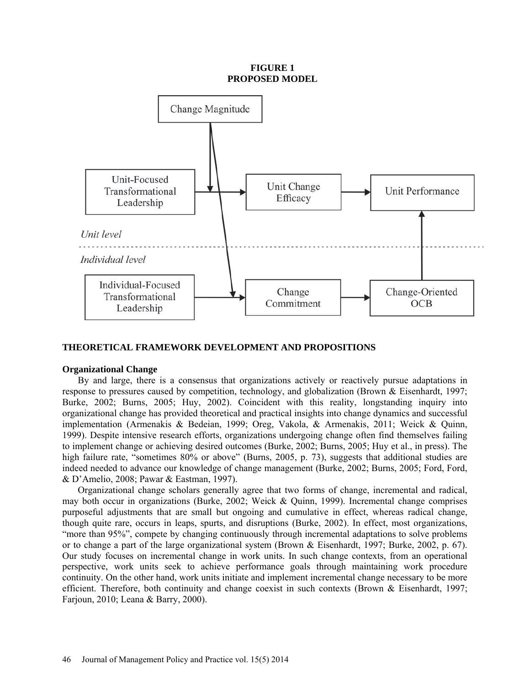**FIGURE 1 PROPOSED MODEL**



## **THEORETICAL FRAMEWORK DEVELOPMENT AND PROPOSITIONS**

#### **Organizational Change**

By and large, there is a consensus that organizations actively or reactively pursue adaptations in response to pressures caused by competition, technology, and globalization (Brown & Eisenhardt, 1997; Burke, 2002; Burns, 2005; Huy, 2002). Coincident with this reality, longstanding inquiry into organizational change has provided theoretical and practical insights into change dynamics and successful implementation (Armenakis & Bedeian, 1999; Oreg, Vakola, & Armenakis, 2011; Weick & Quinn, 1999). Despite intensive research efforts, organizations undergoing change often find themselves failing to implement change or achieving desired outcomes (Burke, 2002; Burns, 2005; Huy et al., in press). The high failure rate, "sometimes 80% or above" (Burns, 2005, p. 73), suggests that additional studies are indeed needed to advance our knowledge of change management (Burke, 2002; Burns, 2005; Ford, Ford, & D'Amelio, 2008; Pawar & Eastman, 1997).

Organizational change scholars generally agree that two forms of change, incremental and radical, may both occur in organizations (Burke, 2002; Weick & Quinn, 1999). Incremental change comprises purposeful adjustments that are small but ongoing and cumulative in effect, whereas radical change, though quite rare, occurs in leaps, spurts, and disruptions (Burke, 2002). In effect, most organizations, "more than 95%", compete by changing continuously through incremental adaptations to solve problems or to change a part of the large organizational system (Brown & Eisenhardt, 1997; Burke, 2002, p. 67). Our study focuses on incremental change in work units. In such change contexts, from an operational perspective, work units seek to achieve performance goals through maintaining work procedure continuity. On the other hand, work units initiate and implement incremental change necessary to be more efficient. Therefore, both continuity and change coexist in such contexts (Brown & Eisenhardt, 1997; Farjoun, 2010; Leana & Barry, 2000).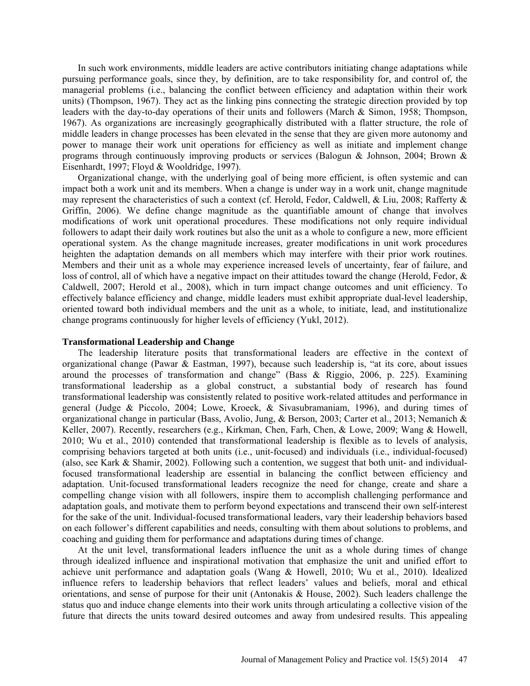In such work environments, middle leaders are active contributors initiating change adaptations while pursuing performance goals, since they, by definition, are to take responsibility for, and control of, the managerial problems (i.e., balancing the conflict between efficiency and adaptation within their work units) (Thompson, 1967). They act as the linking pins connecting the strategic direction provided by top leaders with the day-to-day operations of their units and followers (March & Simon, 1958; Thompson, 1967). As organizations are increasingly geographically distributed with a flatter structure, the role of middle leaders in change processes has been elevated in the sense that they are given more autonomy and power to manage their work unit operations for efficiency as well as initiate and implement change programs through continuously improving products or services (Balogun & Johnson, 2004; Brown & Eisenhardt, 1997; Floyd & Wooldridge, 1997).

Organizational change, with the underlying goal of being more efficient, is often systemic and can impact both a work unit and its members. When a change is under way in a work unit, change magnitude may represent the characteristics of such a context (cf. Herold, Fedor, Caldwell, & Liu, 2008; Rafferty & Griffin, 2006). We define change magnitude as the quantifiable amount of change that involves modifications of work unit operational procedures. These modifications not only require individual followers to adapt their daily work routines but also the unit as a whole to configure a new, more efficient operational system. As the change magnitude increases, greater modifications in unit work procedures heighten the adaptation demands on all members which may interfere with their prior work routines. Members and their unit as a whole may experience increased levels of uncertainty, fear of failure, and loss of control, all of which have a negative impact on their attitudes toward the change (Herold, Fedor, & Caldwell, 2007; Herold et al., 2008), which in turn impact change outcomes and unit efficiency. To effectively balance efficiency and change, middle leaders must exhibit appropriate dual-level leadership, oriented toward both individual members and the unit as a whole, to initiate, lead, and institutionalize change programs continuously for higher levels of efficiency (Yukl, 2012).

#### **Transformational Leadership and Change**

The leadership literature posits that transformational leaders are effective in the context of organizational change (Pawar & Eastman, 1997), because such leadership is, "at its core, about issues around the processes of transformation and change" (Bass & Riggio, 2006, p. 225). Examining transformational leadership as a global construct, a substantial body of research has found transformational leadership was consistently related to positive work-related attitudes and performance in general (Judge & Piccolo, 2004; Lowe, Kroeck, & Sivasubramaniam, 1996), and during times of organizational change in particular (Bass, Avolio, Jung, & Berson, 2003; Carter et al., 2013; Nemanich & Keller, 2007). Recently, researchers (e.g., Kirkman, Chen, Farh, Chen, & Lowe, 2009; Wang & Howell, 2010; Wu et al., 2010) contended that transformational leadership is flexible as to levels of analysis, comprising behaviors targeted at both units (i.e., unit-focused) and individuals (i.e., individual-focused) (also, see Kark & Shamir, 2002). Following such a contention, we suggest that both unit- and individualfocused transformational leadership are essential in balancing the conflict between efficiency and adaptation. Unit-focused transformational leaders recognize the need for change, create and share a compelling change vision with all followers, inspire them to accomplish challenging performance and adaptation goals, and motivate them to perform beyond expectations and transcend their own self-interest for the sake of the unit. Individual-focused transformational leaders, vary their leadership behaviors based on each follower's different capabilities and needs, consulting with them about solutions to problems, and coaching and guiding them for performance and adaptations during times of change.

At the unit level, transformational leaders influence the unit as a whole during times of change through idealized influence and inspirational motivation that emphasize the unit and unified effort to achieve unit performance and adaptation goals (Wang & Howell, 2010; Wu et al., 2010). Idealized influence refers to leadership behaviors that reflect leaders' values and beliefs, moral and ethical orientations, and sense of purpose for their unit (Antonakis & House, 2002). Such leaders challenge the status quo and induce change elements into their work units through articulating a collective vision of the future that directs the units toward desired outcomes and away from undesired results. This appealing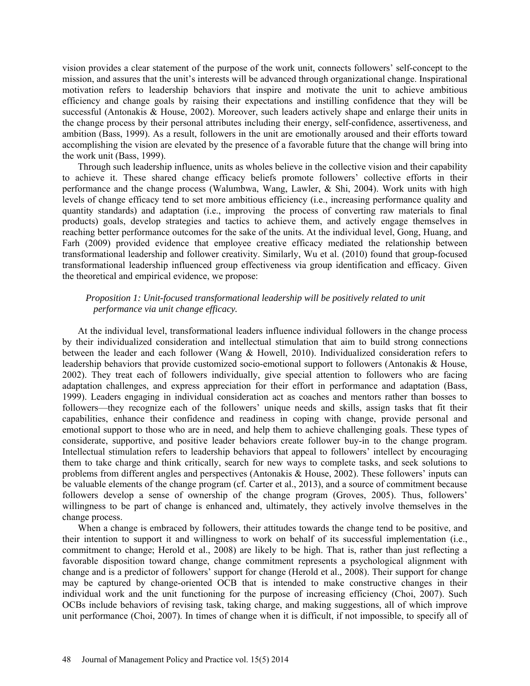vision provides a clear statement of the purpose of the work unit, connects followers' self-concept to the mission, and assures that the unit's interests will be advanced through organizational change. Inspirational motivation refers to leadership behaviors that inspire and motivate the unit to achieve ambitious efficiency and change goals by raising their expectations and instilling confidence that they will be successful (Antonakis & House, 2002). Moreover, such leaders actively shape and enlarge their units in the change process by their personal attributes including their energy, self-confidence, assertiveness, and ambition (Bass, 1999). As a result, followers in the unit are emotionally aroused and their efforts toward accomplishing the vision are elevated by the presence of a favorable future that the change will bring into the work unit (Bass, 1999).

Through such leadership influence, units as wholes believe in the collective vision and their capability to achieve it. These shared change efficacy beliefs promote followers' collective efforts in their performance and the change process (Walumbwa, Wang, Lawler, & Shi, 2004). Work units with high levels of change efficacy tend to set more ambitious efficiency (i.e., increasing performance quality and quantity standards) and adaptation (i.e., improving the process of converting raw materials to final products) goals, develop strategies and tactics to achieve them, and actively engage themselves in reaching better performance outcomes for the sake of the units. At the individual level, Gong, Huang, and Farh (2009) provided evidence that employee creative efficacy mediated the relationship between transformational leadership and follower creativity. Similarly, Wu et al. (2010) found that group-focused transformational leadership influenced group effectiveness via group identification and efficacy. Given the theoretical and empirical evidence, we propose:

# *Proposition 1: Unit-focused transformational leadership will be positively related to unit performance via unit change efficacy.*

At the individual level, transformational leaders influence individual followers in the change process by their individualized consideration and intellectual stimulation that aim to build strong connections between the leader and each follower (Wang & Howell, 2010). Individualized consideration refers to leadership behaviors that provide customized socio-emotional support to followers (Antonakis & House, 2002). They treat each of followers individually, give special attention to followers who are facing adaptation challenges, and express appreciation for their effort in performance and adaptation (Bass, 1999). Leaders engaging in individual consideration act as coaches and mentors rather than bosses to followers—they recognize each of the followers' unique needs and skills, assign tasks that fit their capabilities, enhance their confidence and readiness in coping with change, provide personal and emotional support to those who are in need, and help them to achieve challenging goals. These types of considerate, supportive, and positive leader behaviors create follower buy-in to the change program. Intellectual stimulation refers to leadership behaviors that appeal to followers' intellect by encouraging them to take charge and think critically, search for new ways to complete tasks, and seek solutions to problems from different angles and perspectives (Antonakis & House, 2002). These followers' inputs can be valuable elements of the change program (cf. Carter et al., 2013), and a source of commitment because followers develop a sense of ownership of the change program (Groves, 2005). Thus, followers' willingness to be part of change is enhanced and, ultimately, they actively involve themselves in the change process.

When a change is embraced by followers, their attitudes towards the change tend to be positive, and their intention to support it and willingness to work on behalf of its successful implementation (i.e., commitment to change; Herold et al., 2008) are likely to be high. That is, rather than just reflecting a favorable disposition toward change, change commitment represents a psychological alignment with change and is a predictor of followers' support for change (Herold et al., 2008). Their support for change may be captured by change-oriented OCB that is intended to make constructive changes in their individual work and the unit functioning for the purpose of increasing efficiency (Choi, 2007). Such OCBs include behaviors of revising task, taking charge, and making suggestions, all of which improve unit performance (Choi, 2007). In times of change when it is difficult, if not impossible, to specify all of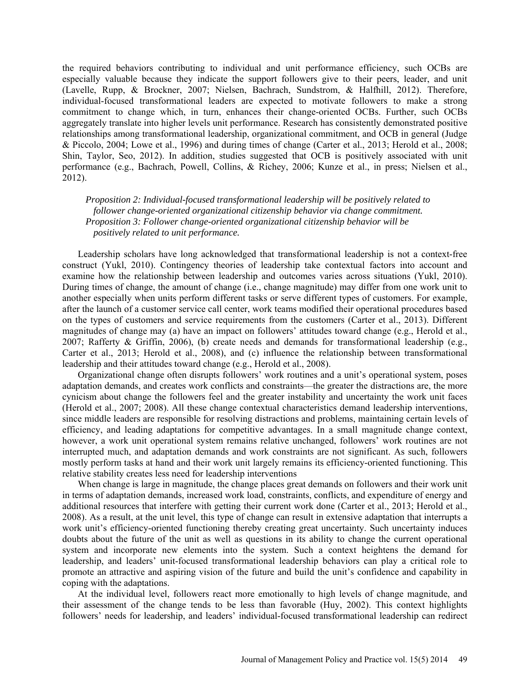the required behaviors contributing to individual and unit performance efficiency, such OCBs are especially valuable because they indicate the support followers give to their peers, leader, and unit (Lavelle, Rupp, & Brockner, 2007; Nielsen, Bachrach, Sundstrom, & Halfhill, 2012). Therefore, individual-focused transformational leaders are expected to motivate followers to make a strong commitment to change which, in turn, enhances their change-oriented OCBs. Further, such OCBs aggregately translate into higher levels unit performance. Research has consistently demonstrated positive relationships among transformational leadership, organizational commitment, and OCB in general (Judge & Piccolo, 2004; Lowe et al., 1996) and during times of change (Carter et al., 2013; Herold et al., 2008; Shin, Taylor, Seo, 2012). In addition, studies suggested that OCB is positively associated with unit performance (e.g., Bachrach, Powell, Collins, & Richey, 2006; Kunze et al., in press; Nielsen et al., 2012).

*Proposition 2: Individual-focused transformational leadership will be positively related to follower change-oriented organizational citizenship behavior via change commitment. Proposition 3: Follower change-oriented organizational citizenship behavior will be positively related to unit performance.*

Leadership scholars have long acknowledged that transformational leadership is not a context-free construct (Yukl, 2010). Contingency theories of leadership take contextual factors into account and examine how the relationship between leadership and outcomes varies across situations (Yukl, 2010). During times of change, the amount of change (i.e., change magnitude) may differ from one work unit to another especially when units perform different tasks or serve different types of customers. For example, after the launch of a customer service call center, work teams modified their operational procedures based on the types of customers and service requirements from the customers (Carter et al., 2013). Different magnitudes of change may (a) have an impact on followers' attitudes toward change (e.g., Herold et al., 2007; Rafferty & Griffin, 2006), (b) create needs and demands for transformational leadership (e.g., Carter et al., 2013; Herold et al., 2008), and (c) influence the relationship between transformational leadership and their attitudes toward change (e.g., Herold et al., 2008).

Organizational change often disrupts followers' work routines and a unit's operational system, poses adaptation demands, and creates work conflicts and constraints—the greater the distractions are, the more cynicism about change the followers feel and the greater instability and uncertainty the work unit faces (Herold et al., 2007; 2008). All these change contextual characteristics demand leadership interventions, since middle leaders are responsible for resolving distractions and problems, maintaining certain levels of efficiency, and leading adaptations for competitive advantages. In a small magnitude change context, however, a work unit operational system remains relative unchanged, followers' work routines are not interrupted much, and adaptation demands and work constraints are not significant. As such, followers mostly perform tasks at hand and their work unit largely remains its efficiency-oriented functioning. This relative stability creates less need for leadership interventions

When change is large in magnitude, the change places great demands on followers and their work unit in terms of adaptation demands, increased work load, constraints, conflicts, and expenditure of energy and additional resources that interfere with getting their current work done (Carter et al., 2013; Herold et al., 2008). As a result, at the unit level, this type of change can result in extensive adaptation that interrupts a work unit's efficiency-oriented functioning thereby creating great uncertainty. Such uncertainty induces doubts about the future of the unit as well as questions in its ability to change the current operational system and incorporate new elements into the system. Such a context heightens the demand for leadership, and leaders' unit-focused transformational leadership behaviors can play a critical role to promote an attractive and aspiring vision of the future and build the unit's confidence and capability in coping with the adaptations.

At the individual level, followers react more emotionally to high levels of change magnitude, and their assessment of the change tends to be less than favorable (Huy, 2002). This context highlights followers' needs for leadership, and leaders' individual-focused transformational leadership can redirect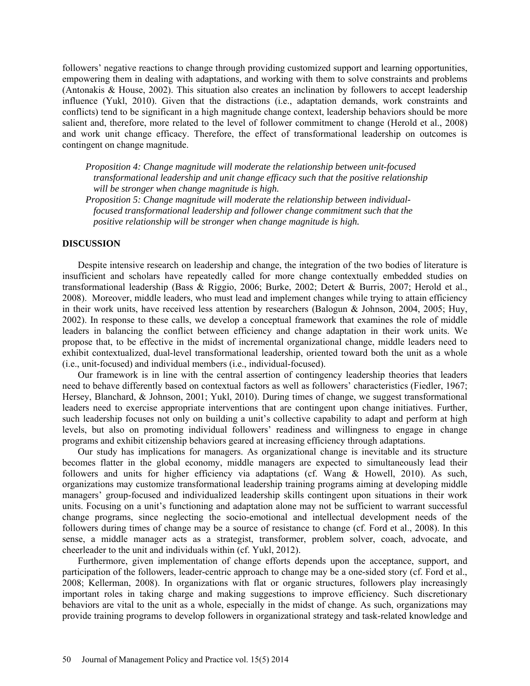followers' negative reactions to change through providing customized support and learning opportunities, empowering them in dealing with adaptations, and working with them to solve constraints and problems (Antonakis & House, 2002). This situation also creates an inclination by followers to accept leadership influence (Yukl, 2010). Given that the distractions (i.e., adaptation demands, work constraints and conflicts) tend to be significant in a high magnitude change context, leadership behaviors should be more salient and, therefore, more related to the level of follower commitment to change (Herold et al., 2008) and work unit change efficacy. Therefore, the effect of transformational leadership on outcomes is contingent on change magnitude.

*Proposition 4: Change magnitude will moderate the relationship between unit-focused transformational leadership and unit change efficacy such that the positive relationship will be stronger when change magnitude is high.* 

*Proposition 5: Change magnitude will moderate the relationship between individualfocused transformational leadership and follower change commitment such that the positive relationship will be stronger when change magnitude is high.* 

## **DISCUSSION**

Despite intensive research on leadership and change, the integration of the two bodies of literature is insufficient and scholars have repeatedly called for more change contextually embedded studies on transformational leadership (Bass & Riggio, 2006; Burke, 2002; Detert & Burris, 2007; Herold et al., 2008). Moreover, middle leaders, who must lead and implement changes while trying to attain efficiency in their work units, have received less attention by researchers (Balogun & Johnson, 2004, 2005; Huy, 2002). In response to these calls, we develop a conceptual framework that examines the role of middle leaders in balancing the conflict between efficiency and change adaptation in their work units. We propose that, to be effective in the midst of incremental organizational change, middle leaders need to exhibit contextualized, dual-level transformational leadership, oriented toward both the unit as a whole (i.e., unit-focused) and individual members (i.e., individual-focused).

Our framework is in line with the central assertion of contingency leadership theories that leaders need to behave differently based on contextual factors as well as followers' characteristics (Fiedler, 1967; Hersey, Blanchard, & Johnson, 2001; Yukl, 2010). During times of change, we suggest transformational leaders need to exercise appropriate interventions that are contingent upon change initiatives. Further, such leadership focuses not only on building a unit's collective capability to adapt and perform at high levels, but also on promoting individual followers' readiness and willingness to engage in change programs and exhibit citizenship behaviors geared at increasing efficiency through adaptations.

Our study has implications for managers. As organizational change is inevitable and its structure becomes flatter in the global economy, middle managers are expected to simultaneously lead their followers and units for higher efficiency via adaptations (cf. Wang & Howell, 2010). As such, organizations may customize transformational leadership training programs aiming at developing middle managers' group-focused and individualized leadership skills contingent upon situations in their work units. Focusing on a unit's functioning and adaptation alone may not be sufficient to warrant successful change programs, since neglecting the socio-emotional and intellectual development needs of the followers during times of change may be a source of resistance to change (cf. Ford et al., 2008). In this sense, a middle manager acts as a strategist, transformer, problem solver, coach, advocate, and cheerleader to the unit and individuals within (cf. Yukl, 2012).

Furthermore, given implementation of change efforts depends upon the acceptance, support, and participation of the followers, leader-centric approach to change may be a one-sided story (cf. Ford et al., 2008; Kellerman, 2008). In organizations with flat or organic structures, followers play increasingly important roles in taking charge and making suggestions to improve efficiency. Such discretionary behaviors are vital to the unit as a whole, especially in the midst of change. As such, organizations may provide training programs to develop followers in organizational strategy and task-related knowledge and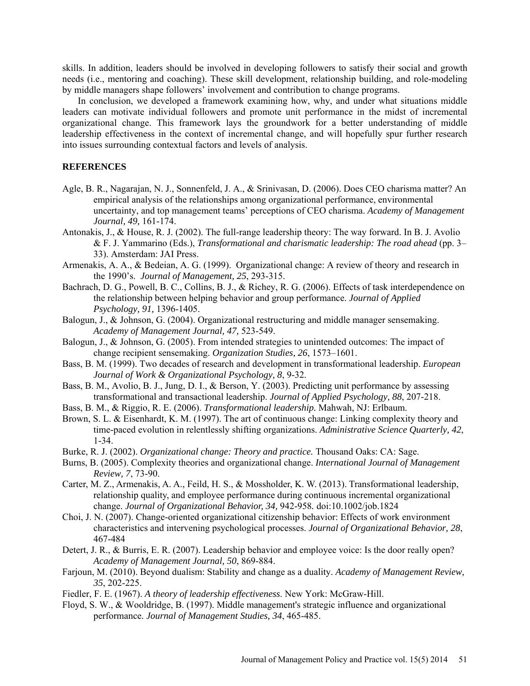skills. In addition, leaders should be involved in developing followers to satisfy their social and growth needs (i.e., mentoring and coaching). These skill development, relationship building, and role-modeling by middle managers shape followers' involvement and contribution to change programs.

In conclusion, we developed a framework examining how, why, and under what situations middle leaders can motivate individual followers and promote unit performance in the midst of incremental organizational change. This framework lays the groundwork for a better understanding of middle leadership effectiveness in the context of incremental change, and will hopefully spur further research into issues surrounding contextual factors and levels of analysis.

## **REFERENCES**

- Agle, B. R., Nagarajan, N. J., Sonnenfeld, J. A., & Srinivasan, D. (2006). Does CEO charisma matter? An empirical analysis of the relationships among organizational performance, environmental uncertainty, and top management teams' perceptions of CEO charisma. *Academy of Management Journal, 49,* 161-174.
- Antonakis, J., & House, R. J. (2002). The full-range leadership theory: The way forward. In B. J. Avolio & F. J. Yammarino (Eds.), *Transformational and charismatic leadership: The road ahead* (pp. 3– 33). Amsterdam: JAI Press.
- Armenakis, A. A., & Bedeian, A. G. (1999). Organizational change: A review of theory and research in the 1990's. *Journal of Management, 25*, 293-315.
- Bachrach, D. G., Powell, B. C., Collins, B. J., & Richey, R. G. (2006). Effects of task interdependence on the relationship between helping behavior and group performance. *Journal of Applied Psychology, 91,* 1396-1405.
- Balogun, J., & Johnson, G. (2004). Organizational restructuring and middle manager sensemaking. *Academy of Management Journal, 47,* 523-549.
- Balogun, J., & Johnson, G. (2005). From intended strategies to unintended outcomes: The impact of change recipient sensemaking. *Organization Studies, 26*, 1573–1601.
- Bass, B. M. (1999). Two decades of research and development in transformational leadership. *European Journal of Work & Organizational Psychology, 8*, 9-32.
- Bass, B. M., Avolio, B. J., Jung, D. I., & Berson, Y. (2003). Predicting unit performance by assessing transformational and transactional leadership. *Journal of Applied Psychology, 88*, 207-218.
- Bass, B. M., & Riggio, R. E. (2006). *Transformational leadership.* Mahwah, NJ: Erlbaum.
- Brown, S. L. & Eisenhardt, K. M. (1997). The art of continuous change: Linking complexity theory and time-paced evolution in relentlessly shifting organizations. *Administrative Science Quarterly, 42*, 1-34.
- Burke, R. J. (2002). *Organizational change: Theory and practice.* Thousand Oaks: CA: Sage.
- Burns, B. (2005). Complexity theories and organizational change. *International Journal of Management Review, 7*, 73-90.
- Carter, M. Z., Armenakis, A. A., Feild, H. S., & Mossholder, K. W. (2013). Transformational leadership, relationship quality, and employee performance during continuous incremental organizational change. *Journal of Organizational Behavior, 34,* 942-958*.* doi:10.1002/job.1824
- Choi, J. N. (2007). Change-oriented organizational citizenship behavior: Effects of work environment characteristics and intervening psychological processes. *Journal of Organizational Behavior, 28*, 467-484
- Detert, J. R., & Burris, E. R. (2007). Leadership behavior and employee voice: Is the door really open? *Academy of Management Journal, 50*, 869-884.
- Farjoun, M. (2010). Beyond dualism: Stability and change as a duality. *Academy of Management Review, 35*, 202-225.
- Fiedler, F. E. (1967). *A theory of leadership effectiveness*. New York: McGraw-Hill.
- Floyd, S. W., & Wooldridge, B. (1997). Middle management's strategic influence and organizational performance. *Journal of Management Studies, 34*, 465-485.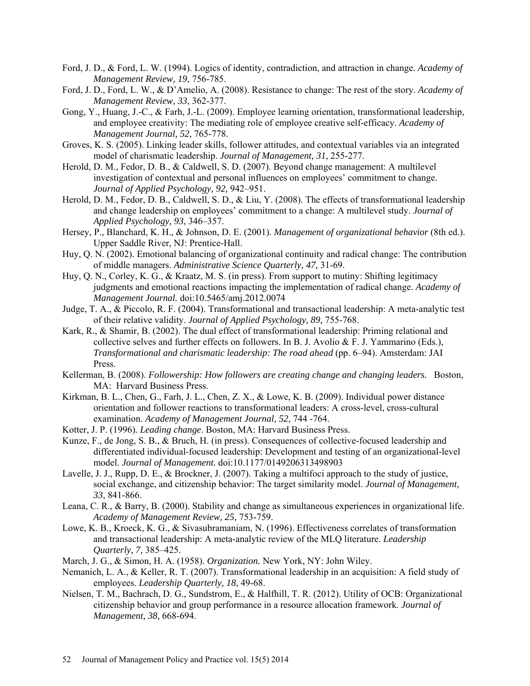- Ford, J. D., & Ford, L. W. (1994). Logics of identity, contradiction, and attraction in change. *Academy of Management Review, 19*, 756-785.
- Ford, J. D., Ford, L. W., & D'Amelio, A. (2008). Resistance to change: The rest of the story. *Academy of Management Review, 33*, 362-377.
- Gong, Y., Huang, J.-C., & Farh, J.-L. (2009). Employee learning orientation, transformational leadership, and employee creativity: The mediating role of employee creative self-efficacy. *Academy of Management Journal, 52,* 765-778.
- Groves, K. S. (2005). Linking leader skills, follower attitudes, and contextual variables via an integrated model of charismatic leadership. *Journal of Management, 31*, 255-277.
- Herold, D. M., Fedor, D. B., & Caldwell, S. D. (2007). Beyond change management: A multilevel investigation of contextual and personal influences on employees' commitment to change. *Journal of Applied Psychology, 92,* 942–951.
- Herold, D. M., Fedor, D. B., Caldwell, S. D., & Liu, Y. (2008). The effects of transformational leadership and change leadership on employees' commitment to a change: A multilevel study. *Journal of Applied Psychology, 93*, 346–357.
- Hersey, P., Blanchard, K. H., & Johnson, D. E. (2001). *Management of organizational behavior* (8th ed.). Upper Saddle River, NJ: Prentice-Hall.
- Huy, Q. N. (2002). Emotional balancing of organizational continuity and radical change: The contribution of middle managers. *Administrative Science Quarterly, 47,* 31-69.
- Huy, Q. N., Corley, K. G., & Kraatz, M. S. (in press). From support to mutiny: Shifting legitimacy judgments and emotional reactions impacting the implementation of radical change. *Academy of Management Journal.* doi:10.5465/amj.2012.0074
- Judge, T. A., & Piccolo, R. F. (2004). Transformational and transactional leadership: A meta-analytic test of their relative validity. *Journal of Applied Psychology, 89,* 755-768.
- Kark, R., & Shamir, B. (2002). The dual effect of transformational leadership: Priming relational and collective selves and further effects on followers. In B. J. Avolio  $\&$  F. J. Yammarino (Eds.), *Transformational and charismatic leadership: The road ahead* (pp. 6–94). Amsterdam: JAI Press.
- Kellerman, B. (2008). *Followership: How followers are creating change and changing leaders.* Boston, MA: Harvard Business Press.
- Kirkman, B. L., Chen, G., Farh, J. L., Chen, Z. X., & Lowe, K. B. (2009). Individual power distance orientation and follower reactions to transformational leaders: A cross-level, cross-cultural examination. *Academy of Management Journal, 52*, 744 -764.
- Kotter, J. P. (1996). *Leading change*. Boston, MA: Harvard Business Press.
- Kunze, F., de Jong, S. B., & Bruch, H. (in press). Consequences of collective-focused leadership and differentiated individual-focused leadership: Development and testing of an organizational-level model. *Journal of Management.* doi:10.1177/0149206313498903
- Lavelle, J. J., Rupp, D. E., & Brockner, J. (2007). Taking a multifoci approach to the study of justice, social exchange, and citizenship behavior: The target similarity model. *Journal of Management, 33*, 841-866.
- Leana, C. R., & Barry, B. (2000). Stability and change as simultaneous experiences in organizational life. *Academy of Management Review, 25,* 753-759.
- Lowe, K. B., Kroeck, K. G., & Sivasubramaniam, N. (1996). Effectiveness correlates of transformation and transactional leadership: A meta-analytic review of the MLQ literature. *Leadership Quarterly, 7,* 385–425.
- March, J. G., & Simon, H. A. (1958). *Organization.* New York, NY: John Wiley.
- Nemanich, L. A., & Keller, R. T. (2007). Transformational leadership in an acquisition: A field study of employees. *Leadership Quarterly, 18*, 49-68.
- Nielsen, T. M., Bachrach, D. G., Sundstrom, E., & Halfhill, T. R. (2012). Utility of OCB: Organizational citizenship behavior and group performance in a resource allocation framework. *Journal of Management, 38,* 668-694.